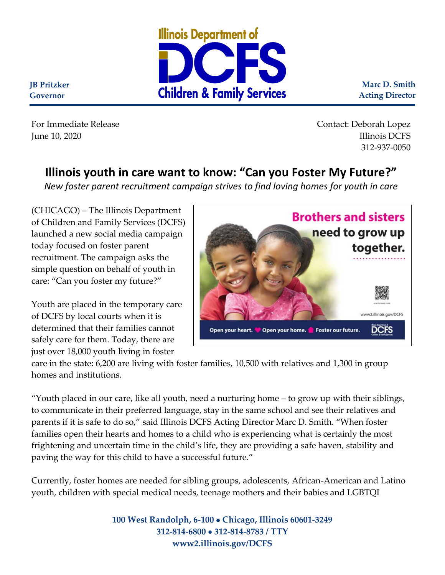

**Marc D. Smith Acting Director**

**JB Pritzker Governor**

For Immediate Release Contact: Deborah Lopez Illinois DCFS Illinois DCFS 312-937-0050

## **Illinois youth in care want to know: "Can you Foster My Future?"**

*New foster parent recruitment campaign strives to find loving homes for youth in care*

(CHICAGO) – The Illinois Department of Children and Family Services (DCFS) launched a new social media campaign today focused on foster parent recruitment. The campaign asks the simple question on behalf of youth in care: "Can you foster my future?"

Youth are placed in the temporary care of DCFS by local courts when it is determined that their families cannot safely care for them. Today, there are just over 18,000 youth living in foster



care in the state: 6,200 are living with foster families, 10,500 with relatives and 1,300 in group homes and institutions.

"Youth placed in our care, like all youth, need a nurturing home – to grow up with their siblings, to communicate in their preferred language, stay in the same school and see their relatives and parents if it is safe to do so," said Illinois DCFS Acting Director Marc D. Smith. "When foster families open their hearts and homes to a child who is experiencing what is certainly the most frightening and uncertain time in the child's life, they are providing a safe haven, stability and paving the way for this child to have a successful future."

Currently, foster homes are needed for sibling groups, adolescents, African-American and Latino youth, children with special medical needs, teenage mothers and their babies and LGBTQI

> **100 West Randolph, 6-100** • **Chicago, Illinois 60601-3249 312-814-6800** • **312-814-8783 / TTY www2.illinois.gov/DCFS**